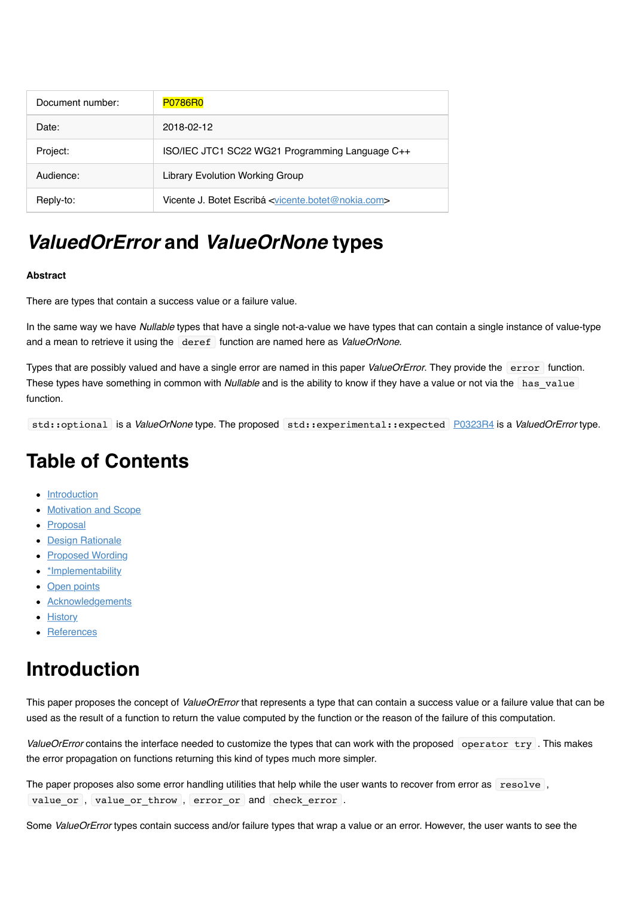| Document number: | <b>P0786R0</b>                                                               |
|------------------|------------------------------------------------------------------------------|
| Date:            | 2018-02-12                                                                   |
| Project:         | ISO/IEC JTC1 SC22 WG21 Programming Language C++                              |
| Audience:        | <b>Library Evolution Working Group</b>                                       |
| Reply-to:        | Vicente J. Botet Escribá <vicente.botet@nokia.com></vicente.botet@nokia.com> |

# *ValuedOrError* **and** *ValueOrNone* **types**

#### **Abstract**

There are types that contain a success value or a failure value.

In the same way we have *Nullable* types that have a single not-a-value we have types that can contain a single instance of value-type and a mean to retrieve it using the deref function are named here as *ValueOrNone*.

Types that are possibly valued and have a single error are named in this paper *ValueOrError*. They provide the error function. These types have something in common with *Nullable* and is the ability to know if they have a value or not via the has value function.

std::optional is a *ValueOrNone* type. The proposed std::experimental::expected [P0323R4](http://www.open-std.org/jtc1/sc22/wg21/docs/papers/2017/p0323r4.pdf) is a *ValuedOrError* type.

# **Table of Contents**

- [Introduction](file:///Users/viboes/github/std_make/doc/proposal/value_or_error/d0786r1.md#introduction)
- [Motivation and Scope](file:///Users/viboes/github/std_make/doc/proposal/value_or_error/d0786r1.md#motivation-and-scope)
- [Proposal](file:///Users/viboes/github/std_make/doc/proposal/value_or_error/d0786r1.md#proposal)
- [Design Rationale](file:///Users/viboes/github/std_make/doc/proposal/value_or_error/d0786r1.md#design-rationale)
- [Proposed Wording](file:///Users/viboes/github/std_make/doc/proposal/value_or_error/d0786r1.md#proposed-wording)
- \* Implementability
- [Open points](file:///Users/viboes/github/std_make/doc/proposal/value_or_error/d0786r1.md#open-points)
- [Acknowledgements](file:///Users/viboes/github/std_make/doc/proposal/value_or_error/d0786r1.md#acknowledgements)
- [History](file:///Users/viboes/github/std_make/doc/proposal/value_or_error/d0786r1.md#history)
- [References](file:///Users/viboes/github/std_make/doc/proposal/value_or_error/d0786r1.md#references)

# **Introduction**

This paper proposes the concept of *ValueOrError* that represents a type that can contain a success value or a failure value that can be used as the result of a function to return the value computed by the function or the reason of the failure of this computation.

ValueOrError contains the interface needed to customize the types that can work with the proposed operator try. This makes the error propagation on functions returning this kind of types much more simpler.

The paper proposes also some error handling utilities that help while the user wants to recover from error as resolve, value or, value or throw, error or and check error .

Some *ValueOrError* types contain success and/or failure types that wrap a value or an error. However, the user wants to see the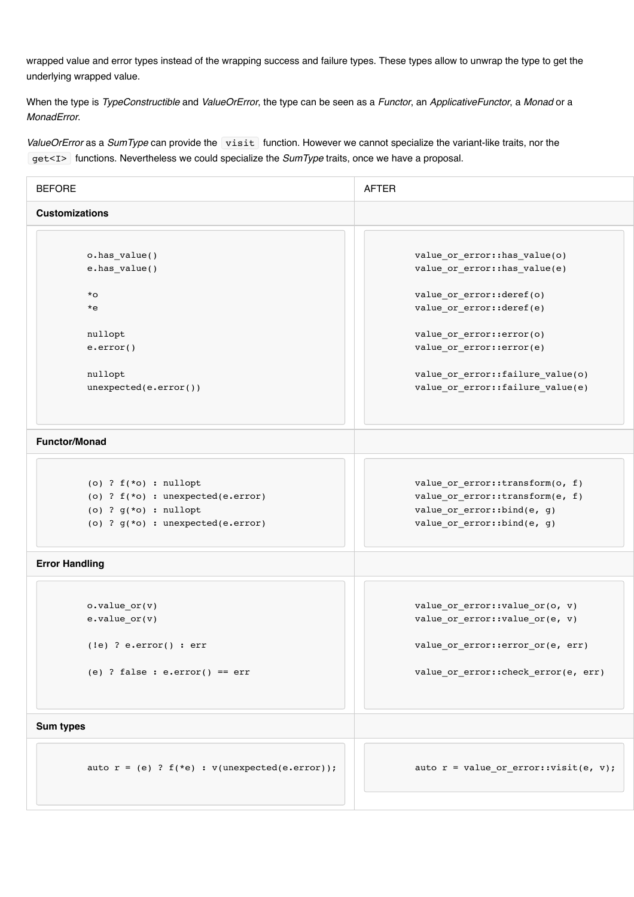wrapped value and error types instead of the wrapping success and failure types. These types allow to unwrap the type to get the underlying wrapped value.

When the type is *TypeConstructible* and *ValueOrError*, the type can be seen as a *Functor*, an *ApplicativeFunctor*, a *Monad* or a *MonadError*.

*ValueOrError* as a *SumType* can provide the visit function. However we cannot specialize the variant-like traits, nor the get<I> functions. Nevertheless we could specialize the *SumType* traits, once we have a proposal.

| <b>BEFORE</b>                                        | <b>AFTER</b>                                                          |  |
|------------------------------------------------------|-----------------------------------------------------------------------|--|
| <b>Customizations</b>                                |                                                                       |  |
|                                                      |                                                                       |  |
| o.has_value()                                        | value_or_error::has_value(o)                                          |  |
| e.has_value()                                        | value_or_error::has_value(e)                                          |  |
| $*_{\rm O}$                                          | value or error::deref(o)                                              |  |
| *e                                                   | value_or_error::deref(e)                                              |  |
| nullopt                                              | value_or_error::error(o)                                              |  |
| $e.\text{error}()$                                   | value_or_error::error(e)                                              |  |
| nullopt                                              | value_or_error::failure_value(o)                                      |  |
| $unexpected(e-error())$                              | value_or_error::failure_value(e)                                      |  |
| <b>Functor/Monad</b>                                 |                                                                       |  |
|                                                      |                                                                       |  |
| (o) ? $f(*o)$ : nullopt                              | value or error::transform(o, f)                                       |  |
| (o) ? $f(*o)$ : unexpected(e.error)                  | value_or_error::transform(e, f)                                       |  |
| (o) ? $g(*o)$ : nullopt                              | value_or_error::bind(e, g)                                            |  |
| (o) ? $g(*o)$ : unexpected(e.error)                  | value_or_error::bind(e, g)                                            |  |
| <b>Error Handling</b>                                |                                                                       |  |
|                                                      |                                                                       |  |
| $o.value_or(v)$                                      | value or error::value $or(o, v)$<br>value or error::value or(e, $v$ ) |  |
| $e-value_or(v)$                                      |                                                                       |  |
| $(!e)$ ? e.error $()$ : err                          | value or error::error or(e, err)                                      |  |
| (e) ? false : $e.\text{error}() == err$              | value_or_error::check_error(e, err)                                   |  |
| <b>Sum types</b>                                     |                                                                       |  |
|                                                      |                                                                       |  |
| auto $r = (e)$ ? $f(*e)$ : $v(unexpected(e-error));$ | auto $r = value_or_error::visit(e, v);$                               |  |
|                                                      |                                                                       |  |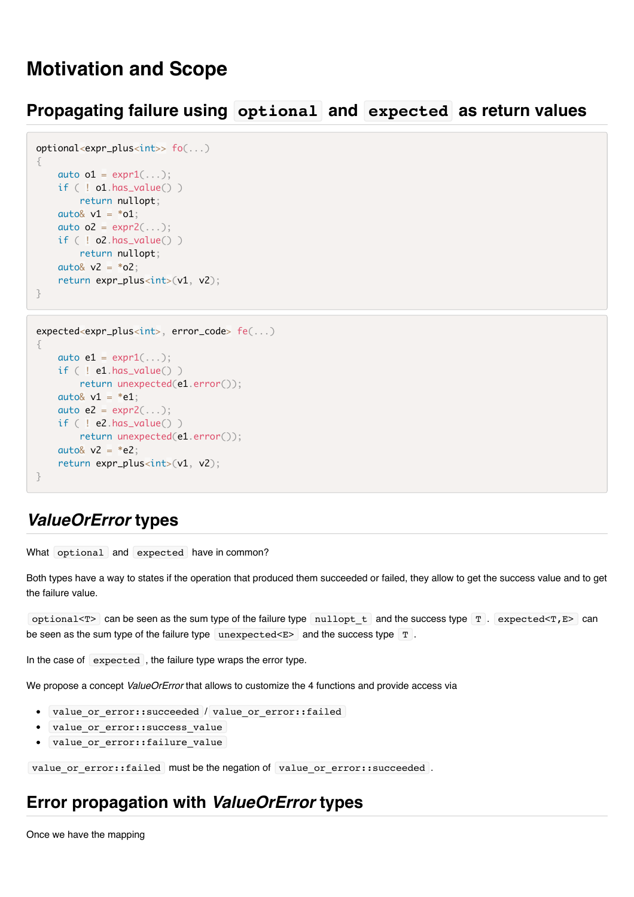# **Motivation and Scope**

# **Propagating failure using optional and expected as return values**

```
optional<expr_plus<int>> fo(...)
{
    auto o1 = expr1(...);if ( ! o1.has_value() ) return nullopt;
    auto& v1 = *o1;
    auto o2 = expr2(...); if ( ! o2.has_value() )
        return nullopt;
    auto& v2 = *o2;
    return expr_plus<int>(v1, v2);
}
```

```
expected<expr_plus<int>, error_code> fe(...)
{
    auto e1 = expr1(...);if ( ! e1.has value() )
        return unexpected(e1.error());
    auto& v1 = *e1;
    auto e^2 = expr^2(...);if ( ! e2 has_value() ) return unexpected(e1.error());
    auto& v2 = *e2;
    return expr_plus<int>(v1, v2);
}
```
## *ValueOrError* **types**

What optional and expected have in common?

Both types have a way to states if the operation that produced them succeeded or failed, they allow to get the success value and to get the failure value.

optional<T> can be seen as the sum type of the failure type nullopt  $t$  and the success type T . expected<T, E> can be seen as the sum type of the failure type unexpected  $\epsilon$  and the success type  $T$ .

In the case of expected, the failure type wraps the error type.

We propose a concept *ValueOrError* that allows to customize the 4 functions and provide access via

- value or error::succeeded / value or error::failed
- value or error::success value
- value or error::failure value

value or error::failed must be the negation of value or error::succeeded .

# **Error propagation with** *ValueOrError* **types**

Once we have the mapping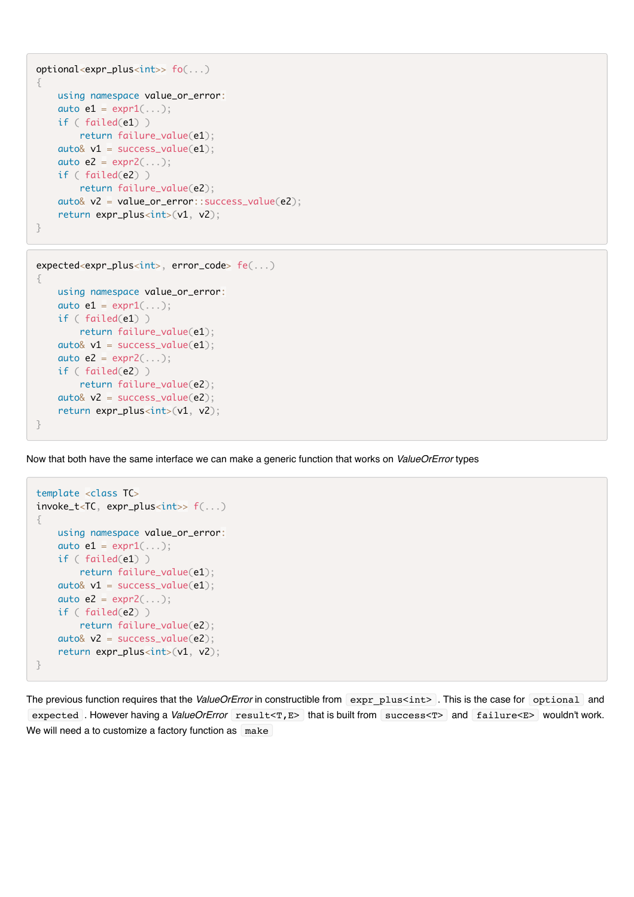```
optional<expr_plus<int>> fo(...)
{
     using namespace value_or_error:
    auto e1 = expr1(...); if ( failed(e1) )
        return failure_value(e1);
    auto& v1 = success_value(e1);auto e^2 = expr^2(...); if ( failed(e2) )
         return failure_value(e2);
     auto& v2 = value_or_error::success_value(e2);
    return expr_plus<int>(v1, v2);
}
```

```
expected<expr_plus<int>, error_code> fe(...)
{
     using namespace value_or_error:
    auto e1 = expr1(...); if ( failed(e1) )
         return failure_value(e1);
    auto& v1 = success_value(e1);
    auto e^2 = expr^2(\ldots);
     if ( failed(e2) )
         return failure_value(e2);
    auto\& v2 = success_value(e2);
     return expr_plus<int>(v1, v2); 
}
```
Now that both have the same interface we can make a generic function that works on *ValueOrError* types

```
template <class TC>
invoke_t<TC, expr_plus<int>> f(...)
{
     using namespace value_or_error:
    auto e1 = expr1(...); if ( failed(e1) )
         return failure_value(e1);
    auto& v1 = success_value(e1);auto e^2 = expr^2(...); if ( failed(e2) )
         return failure_value(e2);
    auto& v2 = success_value(e2);
    return expr_plus<int>(v1, v2);
}
```
The previous function requires that the *ValueOrError* in constructible from expr\_plus<int> . This is the case for optional and expected . However having a *ValueOrError* result<T,E> that is built from success<T> and failure<E> wouldn't work. We will need a to customize a factory function as make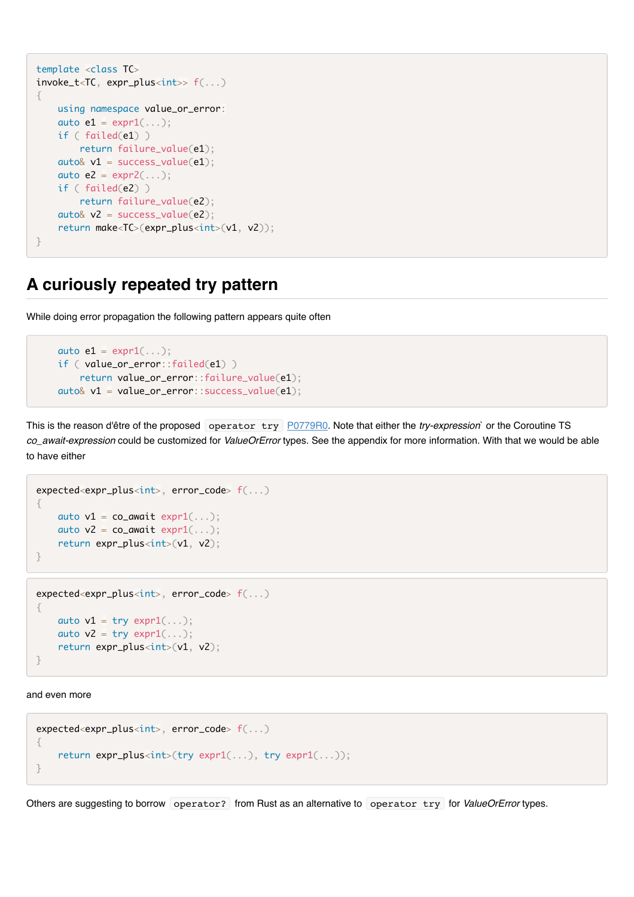```
template <class TC>
invoke_t<TC, expr_plus<int>> f(...)
{
     using namespace value_or_error:
    auto e1 = expr1(...); if ( failed(e1) )
         return failure_value(e1);
    auto& v1 = success_value(e1);auto e^2 = expr^2(...); if ( failed(e2) )
         return failure_value(e2);
    auto& v2 = success_value(e2);return make<TC>(expr_plus<int>(v1, v2));
}
```
## **A curiously repeated try pattern**

While doing error propagation the following pattern appears quite often

```
auto e1 = expr1(...); if ( value_or_error::failed(e1) )
     return value_or_error::failure_value(e1);
 auto& v1 = value_or_error::success_value(e1);
```
This is the reason d'être of the proposed operator try [P0779R0.](http://www.open-std.org/JTC1/SC22/WG21/docs/papers/2017/p0779r0.pdf) Note that either the *try-expression*` or the Coroutine TS *co\_await-expression* could be customized for *ValueOrError* types. See the appendix for more information. With that we would be able to have either

```
expected<expr_plus<int>, error_code> f(...)
{
    auto v1 = co_await expr1(...);auto v2 = co_await expr1(...);return expr_plus<int>(v1, v2);
}
expected<expr_plus<int>, error_code> f(...)
{
```

```
auto v1 = try expr1(...);auto v2 = try expr1(...);return expr_plus<int>(v1, v2);
}
```
and even more

```
expected<expr_plus<int>, error_code> f(...)
{
    return expr_plus<int>(try expr1(...), try expr1(...));
}
```
Others are suggesting to borrow operator? from Rust as an alternative to operator try for *ValueOrError* types.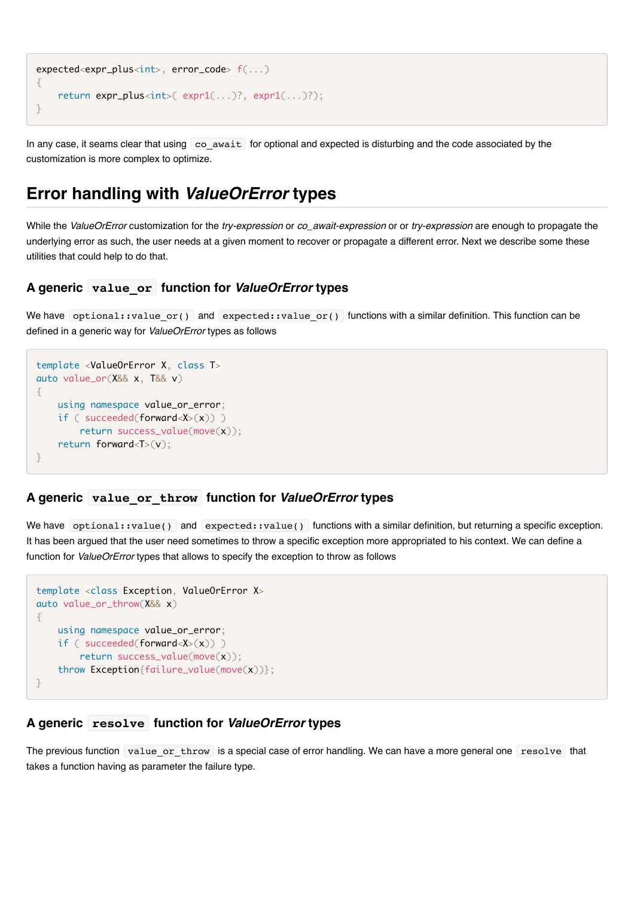```
expected<expr_plus<int>, error_code> f(...)
{
    return expr_plus<int>( expr1(...)?, expr1(...)?);
}
```
In any case, it seams clear that using co await for optional and expected is disturbing and the code associated by the customization is more complex to optimize.

# **Error handling with** *ValueOrError* **types**

While the *ValueOrError* customization for the *try-expression* or *co\_await-expression* or or *try-expression* are enough to propagate the underlying error as such, the user needs at a given moment to recover or propagate a different error. Next we describe some these utilities that could help to do that.

#### **A generic value\_or function for** *ValueOrError* **types**

We have optional::value or() and expected::value or() functions with a similar definition. This function can be defined in a generic way for *ValueOrError* types as follows

```
template <ValueOrError X, class T>
auto value_or(X&& x, T&& v)
{
     using namespace value_or_error;
    if ( succeeded(forward<X>(x)) )
         return success_value(move(x)); 
     return forward<T>(v);
}
```
#### **A generic value\_or\_throw function for** *ValueOrError* **types**

We have optional::value() and expected::value() functions with a similar definition, but returning a specific exception. It has been argued that the user need sometimes to throw a specific exception more appropriated to his context. We can define a function for *ValueOrError* types that allows to specify the exception to throw as follows

```
template <class Exception, ValueOrError X>
auto value_or_throw(X&& x)
{
     using namespace value_or_error;
     if ( succeeded(forward<X>(x)) )
         return success_value(move(x)); 
     throw Exception{failure_value(move(x))};
}
```
#### **A generic resolve function for** *ValueOrError* **types**

The previous function value or throw is a special case of error handling. We can have a more general one resolve that takes a function having as parameter the failure type.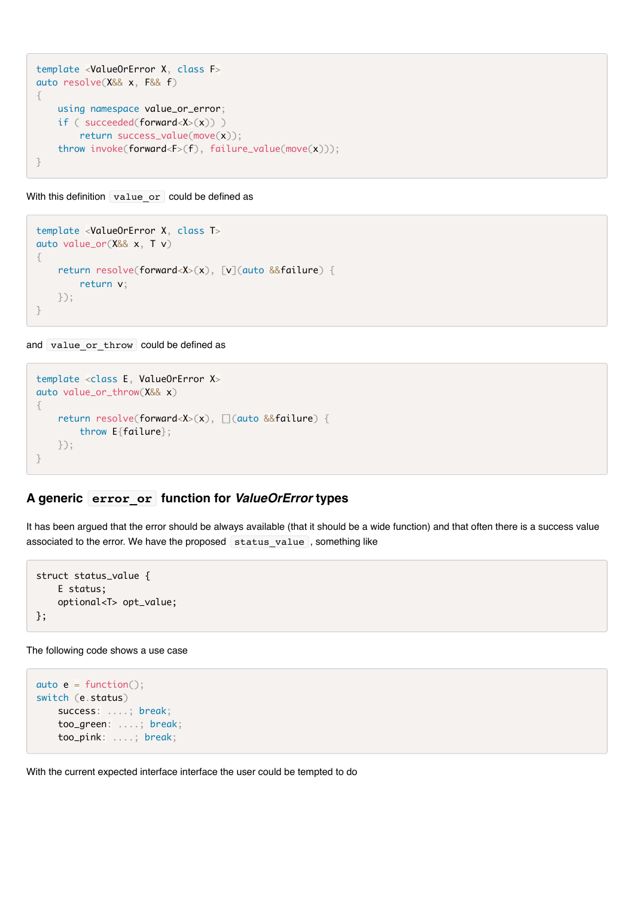```
template <ValueOrError X, class F>
auto resolve(X&& x, F&& f)
{
     using namespace value_or_error;
    if ( succeeded(forward<X>(x)) )
         return success_value(move(x)); 
     throw invoke(forward<F>(f), failure_value(move(x)));
}
```
With this definition value or could be defined as

```
template <ValueOrError X, class T>
auto value_or(X&& x, T v)
{
     return resolve(forward<X>(x), [v](auto &&failure) {
         return v;
    });
}
```
and value or throw could be defined as

```
template <class E, ValueOrError X>
auto value_or_throw(X&& x)
{
     return resolve(forward<X>(x), [](auto &&failure) {
         throw E{failure};
    });
}
```
#### **A generic error\_or function for** *ValueOrError* **types**

It has been argued that the error should be always available (that it should be a wide function) and that often there is a success value associated to the error. We have the proposed status value, something like

```
struct status_value {
     E status; 
     optional<T> opt_value;
};
```
The following code shows a use case

```
auto e = function();
switch (e.status)
     success: ....; break;
     too_green: ....; break;
     too_pink: ....; break;
```
With the current expected interface interface the user could be tempted to do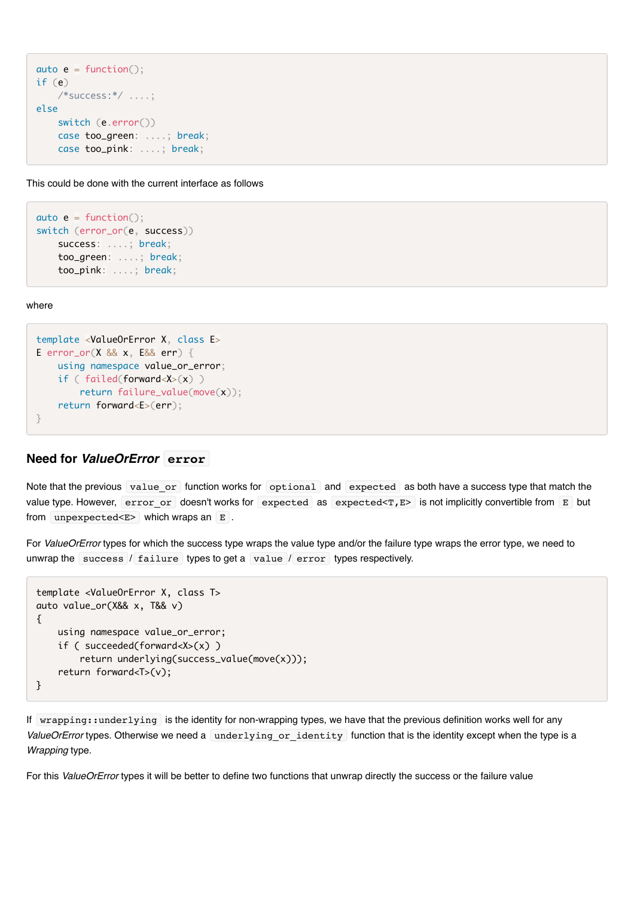```
auto e = function();
if (e)
     /*success:*/ ....;
else
     switch (e.error())
     case too_green: ....; break;
     case too_pink: ....; break;
```
This could be done with the current interface as follows

```
auto e = function();
switch (error_or(e, success))
     success: ....; break;
     too_green: ....; break;
     too_pink: ....; break;
```
where

```
template <ValueOrError X, class E>
E error_or(X && x, E&& err) {
    using namespace value_or_error;
    if ( failed(forward<X>(x) )
        return failure value(move(x));
    return forward<E>(err);
}
```
#### **Need for** *ValueOrError* **error**

Note that the previous value or function works for optional and expected as both have a success type that match the value type. However, error or doesn't works for expected as expected<T,E> is not implicitly convertible from E but from unpexpected  $E$  which wraps an  $E$ .

For *ValueOrError* types for which the success type wraps the value type and/or the failure type wraps the error type, we need to unwrap the success / failure types to get a value / error types respectively.

```
template <ValueOrError X, class T>
auto value_or(X&& x, T&& v) 
{
     using namespace value_or_error; 
     if ( succeeded(forward<X>(x) )
         return underlying(success_value(move(x))); 
     return forward<T>(v);
}
```
If wrapping::underlying is the identity for non-wrapping types, we have that the previous definition works well for any ValueOrError types. Otherwise we need a underlying or identity function that is the identity except when the type is a *Wrapping* type.

For this *ValueOrError* types it will be better to define two functions that unwrap directly the success or the failure value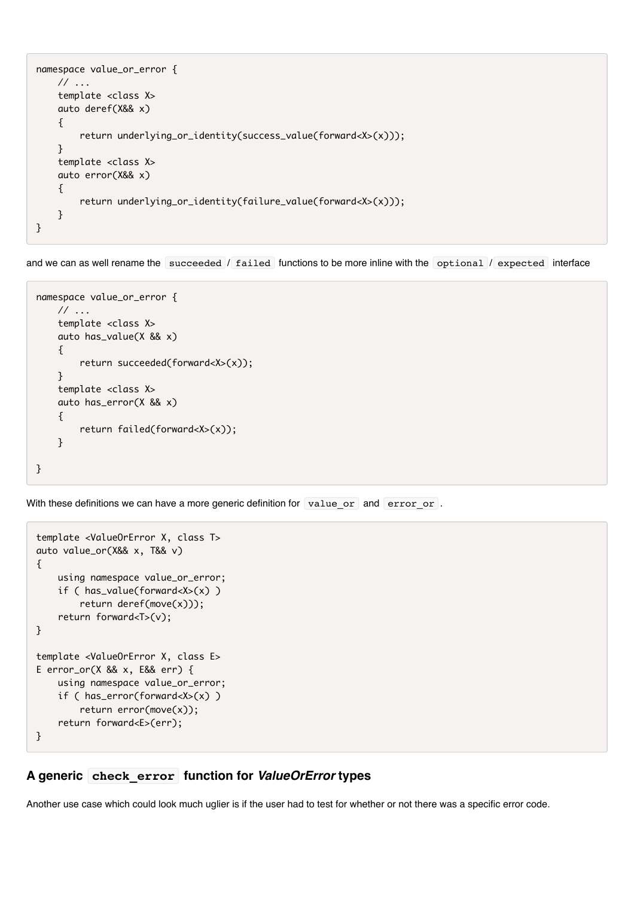```
namespace value_or_error {
     // ...
     template <class X>
     auto deref(X&& x) 
     {
         return underlying_or_identity(success_value(forward<X>(x))); 
     }
     template <class X>
     auto error(X&& x) 
     {
         return underlying_or_identity(failure_value(forward<X>(x))); 
     }
}
```
and we can as well rename the succeeded / failed functions to be more inline with the optional / expected interface

```
namespace value_or_error {
    \frac{1}{2}...
     template <class X>
     auto has_value(X && x) 
     {
          return succeeded(forward<X>(x)); 
     }
     template <class X>
     auto has_error(X && x) 
     {
          return failed(forward<X>(x)); 
     }
}
```
With these definitions we can have a more generic definition for value or and error or.

```
template <ValueOrError X, class T>
auto value_or(X&& x, T&& v) 
{
     using namespace value_or_error; 
     if ( has_value(forward<X>(x) )
         return deref(move(x))); 
     return forward<T>(v);
}
template <ValueOrError X, class E>
E error_or(X && x, E&& err) {
     using namespace value_or_error; 
     if ( has_error(forward<X>(x) )
         return error(move(x)); 
     return forward<E>(err);
}
```
#### **A generic check\_error function for** *ValueOrError* **types**

Another use case which could look much uglier is if the user had to test for whether or not there was a specific error code.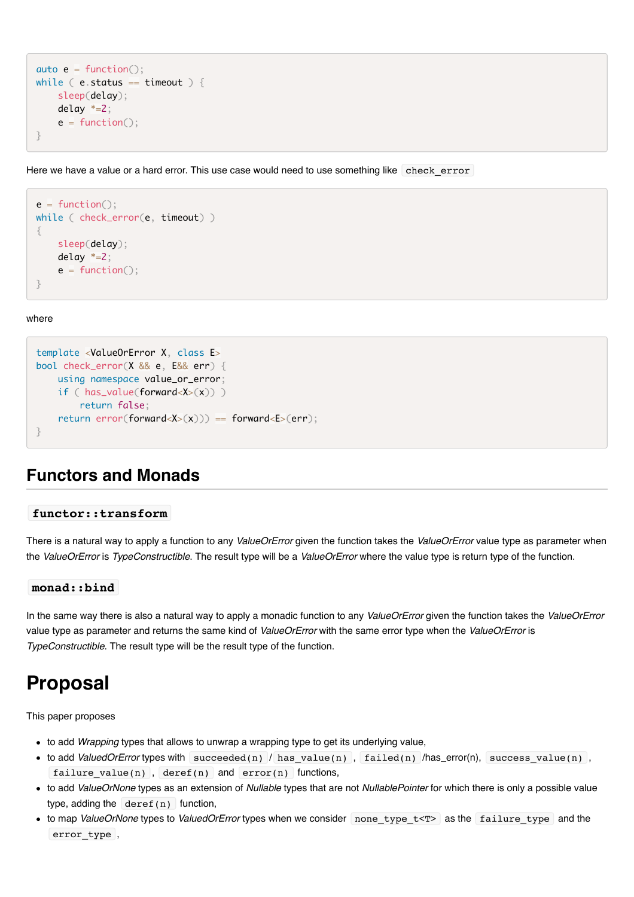```
auto e = function();
while ( e. status == timeout ) {
     sleep(delay);
     delay *=2;
    e = function():}
```
Here we have a value or a hard error. This use case would need to use something like check error

```
e = function();
while ( check_error(e, timeout) )
{
     sleep(delay);
     delay *=2;
    e = function();}
```
where

```
template <ValueOrError X, class E>
bool check_error(X && e, E&& err) {
     using namespace value_or_error;
   if ( has value(forward<X>(x)) )
         return false; 
   return error(forward<X>(x))) == forward<E>(err);
}
```
### **Functors and Monads**

#### **functor::transform**

There is a natural way to apply a function to any *ValueOrError* given the function takes the *ValueOrError* value type as parameter when the *ValueOrError* is *TypeConstructible*. The result type will be a *ValueOrError* where the value type is return type of the function.

#### **monad::bind**

In the same way there is also a natural way to apply a monadic function to any *ValueOrError* given the function takes the *ValueOrError* value type as parameter and returns the same kind of *ValueOrError* with the same error type when the *ValueOrError* is *TypeConstructible*. The result type will be the result type of the function.

# **Proposal**

This paper proposes

- to add *Wrapping* types that allows to unwrap a wrapping type to get its underlying value,
- to add *ValuedOrError* types with succeeded(n) / has value(n), failed(n) /has\_error(n), success value(n), failure value(n), deref(n) and error(n) functions,
- to add *ValueOrNone* types as an extension of *Nullable* types that are not *NullablePointer* for which there is only a possible value type, adding the  $\text{degree}(n)$  function,
- to map *ValueOrNone* types to *ValuedOrError* types when we consider none type t<T> as the failure type and the error type,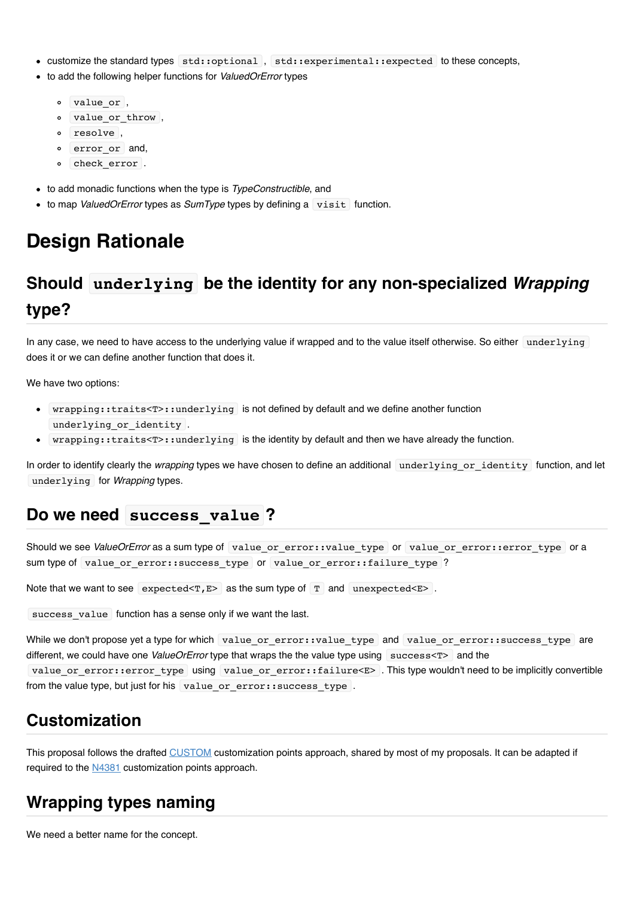- customize the standard types std::optional , std::experimental::expected to these concepts,
- to add the following helper functions for *ValuedOrError* types
	- $\circ$  value or,
	- $\circ$  value or throw,
	- resolve ,
	- $\circ$  error or and,
	- $\circ$  check error .
- to add monadic functions when the type is *TypeConstructible*, and
- to map *ValuedOrError* types as *SumType* types by defining a visit function.

# **Design Rationale**

# **Should underlying be the identity for any non-specialized** *Wrapping* **type?**

In any case, we need to have access to the underlying value if wrapped and to the value itself otherwise. So either underlying does it or we can define another function that does it.

We have two options:

- wrapping::traits<T>::underlying is not defined by default and we define another function underlying or identity .
- wrapping::traits<T>::underlying is the identity by default and then we have already the function.

In order to identify clearly the *wrapping* types we have chosen to define an additional underlying or identity function, and let underlying for *Wrapping* types.

### **Do we need success\_value ?**

Should we see *ValueOrError* as a sum type of value\_or\_error::value\_type or value\_or\_error::error\_type or a sum type of value\_or\_error::success\_type or value\_or\_error::failure\_type ?

Note that we want to see expected  $\leq$   $\mathbb{F}$  as the sum type of  $\mathbb{T}$  and unexpected  $\leq$   $\mathbb{F}$  .

success value function has a sense only if we want the last.

While we don't propose yet a type for which value or error::value type and value or error::success type are different, we could have one *ValueOrError* type that wraps the the value type using success<T> and the value or error::error type using value or error::failure<E> . This type wouldn't need to be implicitly convertible from the value type, but just for his value or error::success type .

# **Customization**

This proposal follows the drafted [CUSTOM](https://github.com/viboes/std-make/blob/master/doc/proposal/customization/customization_points.md) customization points approach, shared by most of my proposals. It can be adapted if required to the [N4381](http://www.open-std.org/jtc1/sc22/wg21/docs/papers/2015/n4381.html) customization points approach.

### **Wrapping types naming**

We need a better name for the concept.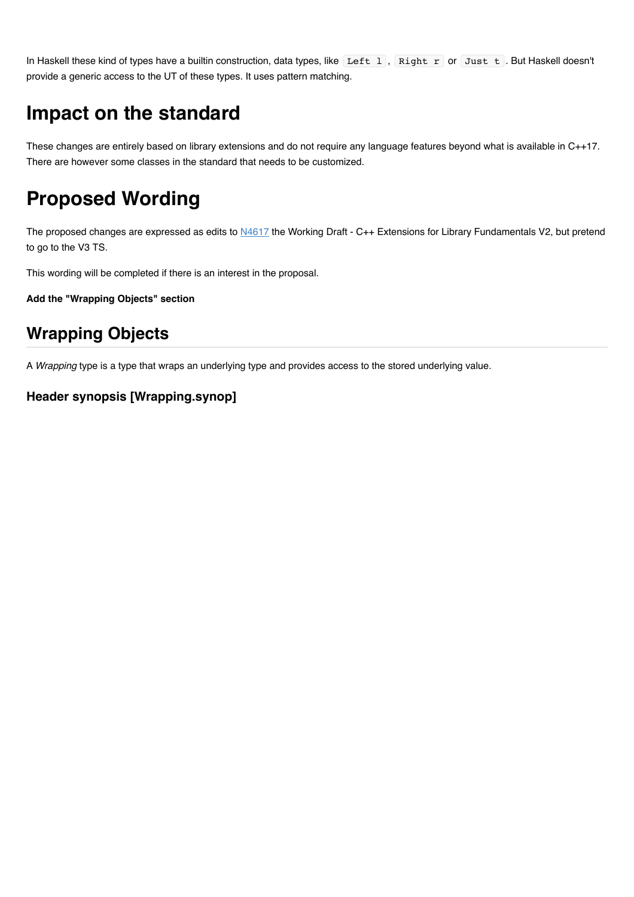In Haskell these kind of types have a builtin construction, data types, like Left 1, Right r or Just t. But Haskell doesn't provide a generic access to the UT of these types. It uses pattern matching.

# **Impact on the standard**

These changes are entirely based on library extensions and do not require any language features beyond what is available in C++17. There are however some classes in the standard that needs to be customized.

# **Proposed Wording**

The proposed changes are expressed as edits to [N4617](http://www.open-std.org/jtc1/sc22/wg21/docs/papers/2016/n4617.pdf) the Working Draft - C++ Extensions for Library Fundamentals V2, but pretend to go to the V3 TS.

This wording will be completed if there is an interest in the proposal.

**Add the "Wrapping Objects" section**

# **Wrapping Objects**

A *Wrapping* type is a type that wraps an underlying type and provides access to the stored underlying value.

#### **Header synopsis [Wrapping.synop]**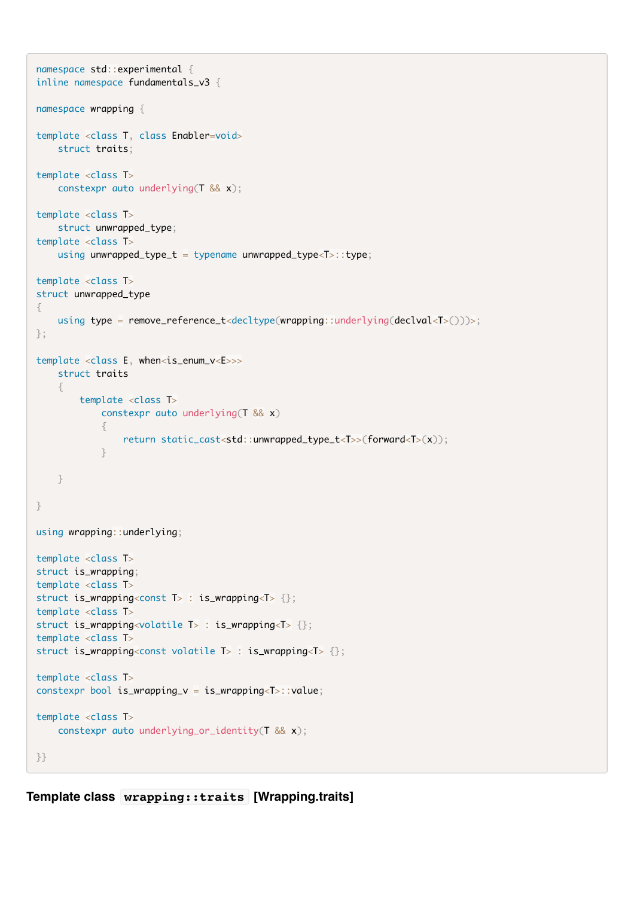```
namespace std::experimental {
inline namespace fundamentals_v3 {
namespace wrapping {
template <class T, class Enabler=void>
     struct traits;
template <class T>
     constexpr auto underlying(T && x);
template <class T>
     struct unwrapped_type;
template <class T>
    using unwrapped_type_t = typename unwrapped_type<T>::type;
template <class T>
struct unwrapped_type 
{
    using type = remove_reference_t<decltype(wrapping::underlying(declval<T>()))>;
};
template <class E, when<is_enum_v<E>>>
     struct traits
     {
         template <class T>
             constexpr auto underlying(T && x)
\{ return static_cast<std::unwrapped_type_t<T>>(forward<T>(x));
 }
     }
}
using wrapping::underlying;
template <class T>
struct is_wrapping;
template <class T>
struct is_wrapping<const T> : is_wrapping<T> {};
template <class T>
struct is_wrapping<volatile T> : is_wrapping<T> {};
template <class T>
struct is_wrapping<const volatile T> : is_wrapping<T> {};
template <class T>
constexpr bool is_wrapping_v = is_wrapping<T>::value;
template <class T>
     constexpr auto underlying_or_identity(T && x);
}}
```
**Template class wrapping::traits [Wrapping.traits]**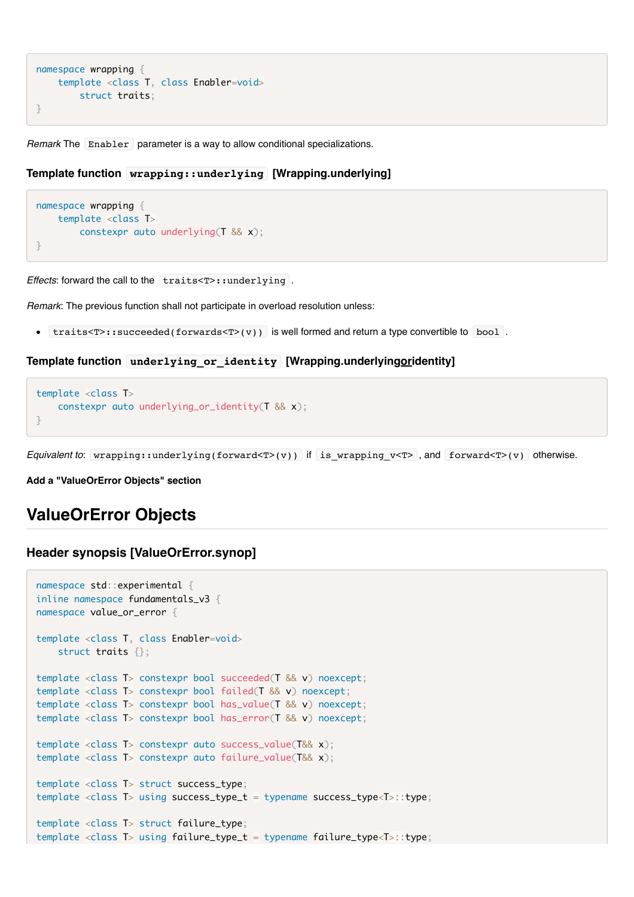```
namespace wrapping {
    template <class T, class Enabler=void>
         struct traits;
}
```
*Remark* The Enabler parameter is a way to allow conditional specializations.

#### **Template function wrapping::underlying [Wrapping.underlying]**

```
namespace wrapping {
    template <class T>
         constexpr auto underlying(T && x);
}
```
*Effects*: forward the call to the traits<T>::underlying .

*Remark*: The previous function shall not participate in overload resolution unless:

•  $traits < T$ :  $succeeded(forwards < T>(v))$  is well formed and return a type convertible to bool.

#### **Template function underlying\_or\_identity [Wrapping.underlyingoridentity]**

```
template <class T>
     constexpr auto underlying_or_identity(T && x);
}
```
*Equivalent to*: wrapping::underlying(forward<T>(v)) if is\_wrapping\_v<T> , and forward<T>(v) otherwise.

**Add a "ValueOrError Objects" section**

### **ValueOrError Objects**

#### **Header synopsis [ValueOrError.synop]**

```
namespace std::experimental {
inline namespace fundamentals_v3 {
namespace value_or_error {
template <class T, class Enabler=void>
     struct traits {};
template <class T> constexpr bool succeeded(T && v) noexcept;
template <class T> constexpr bool failed(T && v) noexcept;
template <class T> constexpr bool has_value(T && v) noexcept;
template <class T> constexpr bool has_error(T && v) noexcept;
template <class T> constexpr auto success_value(T&& x);
template <class T> constexpr auto failure_value(T&& x); 
template <class T> struct success_type;
template <class T> using success_type_t = typename success_type<T>::type;
template <class T> struct failure_type;
template <class T> using failure_type_t = typename failure_type<T>::type;
```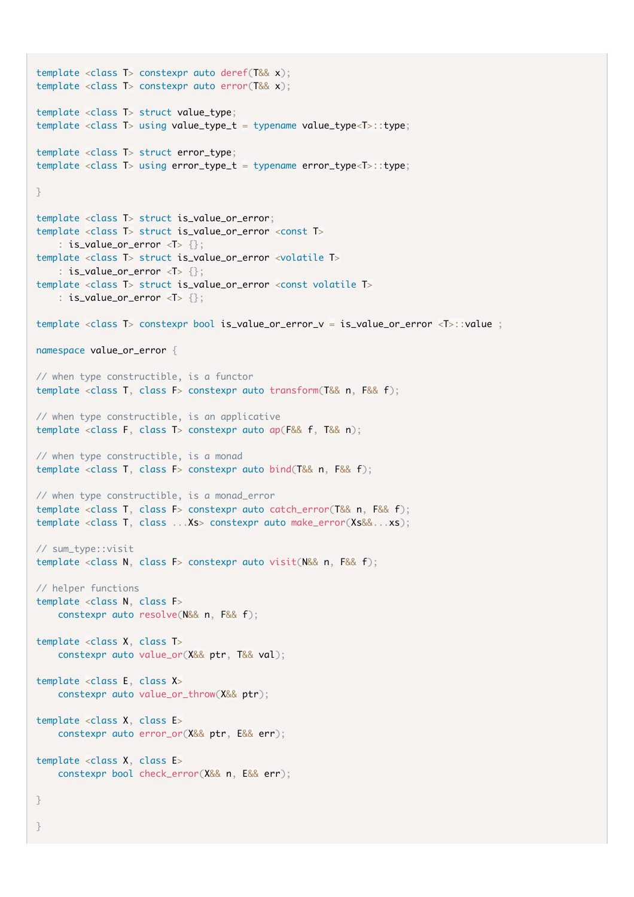```
template <class T> constexpr auto deref(T&& x);
template <class T> constexpr auto error(T&& x);
template <class T> struct value_type;
template <class T> using value_type_t = typename value_type<T>::type;
template <class T> struct error_type;
template <class T> using error_type_t = typename error_type<T>::type; 
}
template <class T> struct is_value_or_error;
template <class T> struct is_value_or_error <const T>
    : is_value_or_error <I > \{\};
template <class T> struct is_value_or_error <volatile T>
    : is_value_or_error \langle T \rangle {};
template <class T> struct is_value_or_error <const volatile T>
    : is_value_or_error \langle T \rangle {};
template <class T> constexpr bool is_value_or_error_v = is_value_or_error <T>::value ;
namespace value_or_error {
// when type constructible, is a functor
template <class T, class F> constexpr auto transform(T&& n, F&& f);
// when type constructible, is an applicative
template <class F, class T> constexpr auto ap(F&& f, T&& n);
// when type constructible, is a monad
template <class T, class F> constexpr auto bind(T&& n, F&& f);
// when type constructible, is a monad_error
template <class T, class F> constexpr auto catch_error(T&& n, F&& f);
template <class T, class ...Xs> constexpr auto make_error(Xs&&...xs);
// sum_type::visit
template <class N, class F> constexpr auto visit(N&& n, F&& f);
// helper functions 
template <class N, class F>
     constexpr auto resolve(N&& n, F&& f);
template <class X, class T>
     constexpr auto value_or(X&& ptr, T&& val);
template <class E, class X>
     constexpr auto value_or_throw(X&& ptr);
template <class X, class E>
     constexpr auto error_or(X&& ptr, E&& err);
template <class X, class E>
     constexpr bool check_error(X&& n, E&& err);
}
```
}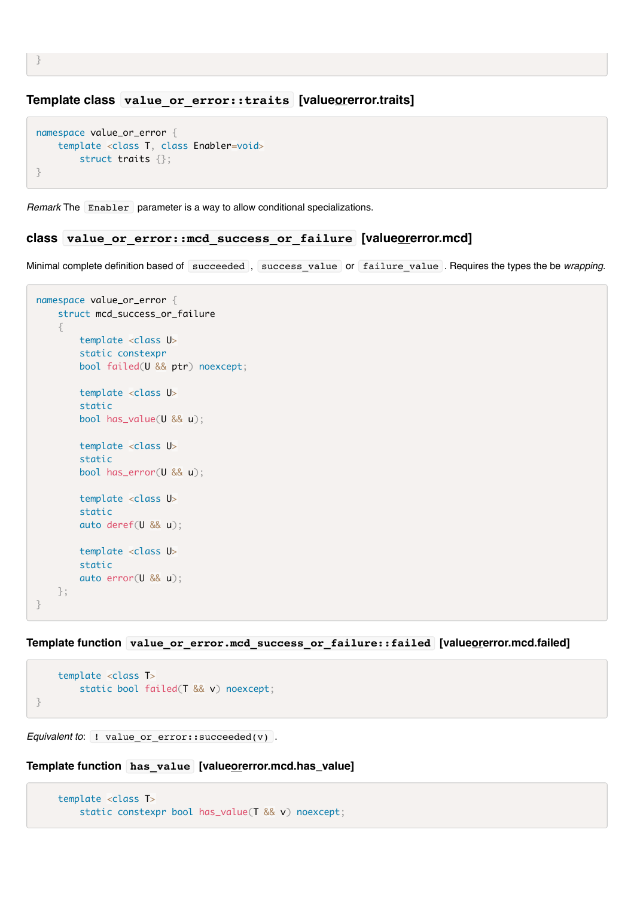#### **Template class value\_or\_error::traits [valueorerror.traits]**

```
namespace value_or_error {
    template <class T, class Enabler=void>
        struct traits \{\}:
}
```
*Remark* The Enabler parameter is a way to allow conditional specializations.

#### **class value\_or\_error::mcd\_success\_or\_failure [valueorerror.mcd]**

Minimal complete definition based of succeeded, success\_value or failure\_value . Requires the types the be *wrapping*.

```
namespace value_or_error {
     struct mcd_success_or_failure
     {
         template <class U>
         static constexpr
         bool failed(U && ptr) noexcept;
         template <class U>
         static
         bool has_value(U && u);
         template <class U>
         static
         bool has_error(U && u);
         template <class U>
         static
         auto deref(U && u);
         template <class U>
         static
         auto error(U && u);
     };
}
```
**Template function value\_or\_error.mcd\_success\_or\_failure::failed [valueorerror.mcd.failed]**

```
 template <class T>
         static bool failed(T && v) noexcept;
}
```
*Equivalent to*: ! value or error::succeeded(v) .

#### **Template function has\_value [valueorerror.mcd.has\_value]**

```
 template <class T>
     static constexpr bool has_value(T && v) noexcept;
```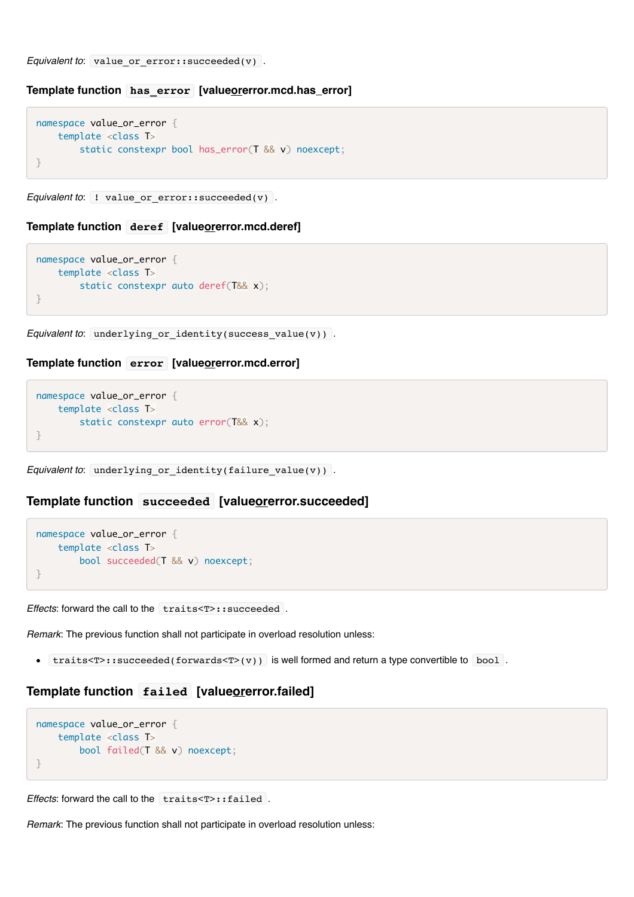*Equivalent to*: value\_or\_error::succeeded(v) .

#### **Template function has\_error [valueorerror.mcd.has\_error]**

```
namespace value_or_error {
     template <class T>
        static constexpr bool has error(T && v) noexcept;
}
```
*Equivalent to*: ! value or error::succeeded(v) .

#### **Template function deref [valueorerror.mcd.deref]**

```
namespace value_or_error {
    template <class T>
         static constexpr auto deref(T&& x);
}
```
*Equivalent to*: underlying or identity(success value(v)).

#### **Template function error [valueorerror.mcd.error]**

```
namespace value_or_error {
    template <class T>
         static constexpr auto error(T&& x); 
}
```

```
Equivalent to: underlying_or_identity(failure_value(v)) .
```
#### **Template function succeeded [valueorerror.succeeded]**

```
namespace value_or_error {
    template <class T>
         bool succeeded(T && v) noexcept;
}
```
*Effects*: forward the call to the traits<T>::succeeded .

*Remark*: The previous function shall not participate in overload resolution unless:

•  $traits < T$ :  $succeeded(forwards < T>(v))$  is well formed and return a type convertible to bool.

#### **Template function failed [valueorerror.failed]**

```
namespace value_or_error {
    template <class T>
         bool failed(T && v) noexcept;
}
```
*Effects*: forward the call to the traits<T>::failed.

*Remark*: The previous function shall not participate in overload resolution unless: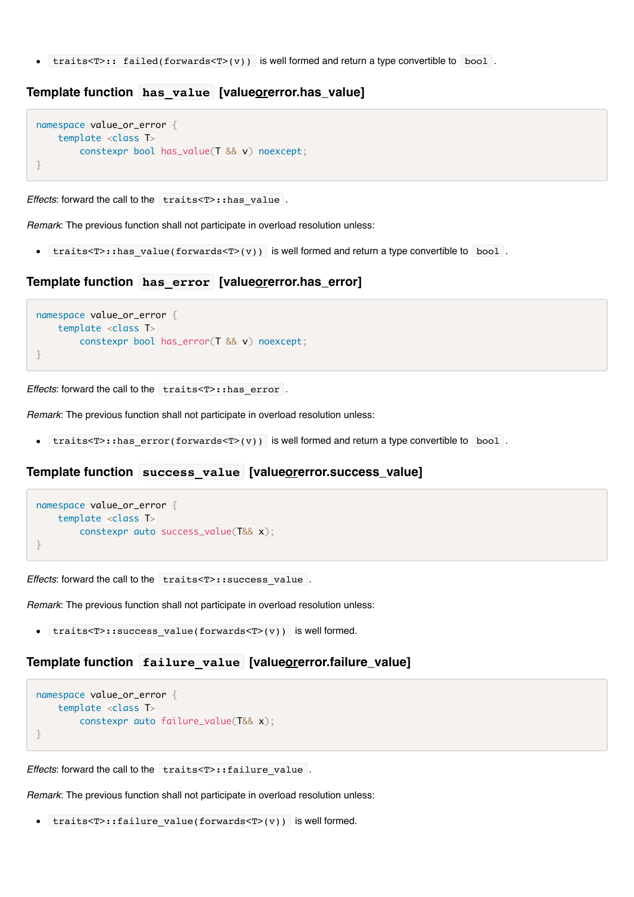•  $traits < T>:\,$  failed(forwards $< T>(v)$ ) is well formed and return a type convertible to bool.

#### **Template function** has value [valueorerror.has\_value]

```
namespace value_or_error {
    template <class T>
         constexpr bool has_value(T && v) noexcept;
}
```
*Effects*: forward the call to the traits<T>::has value .

*Remark*: The previous function shall not participate in overload resolution unless:

• traits<T>::has value(forwards<T>(v)) is well formed and return a type convertible to bool.

#### **Template function has\_error [valueorerror.has\_error]**

```
namespace value_or_error {
     template <class T>
         constexpr bool has_error(T && v) noexcept;
}
```
*Effects*: forward the call to the traits<T>::has\_error .

*Remark*: The previous function shall not participate in overload resolution unless:

• traits<T>::has  $error(forwards < T>(v))$  is well formed and return a type convertible to bool.

#### **Template function success\_value [valueorerror.success\_value]**

```
namespace value_or_error {
    template <class T>
         constexpr auto success_value(T&& x);
}
```
*Effects*: forward the call to the traits<T>:: success\_value .

*Remark*: The previous function shall not participate in overload resolution unless:

•  $trans **T**$ : success value(forwards**) is well formed.** 

#### **Template function failure\_value [valueorerror.failure\_value]**

```
namespace value_or_error {
    template <class T>
         constexpr auto failure_value(T&& x); 
}
```
*Effects*: forward the call to the traits<T>:: failure value .

*Remark*: The previous function shall not participate in overload resolution unless:

```
traits<T>::failure_value(forwards<T>(v)) is well formed.
```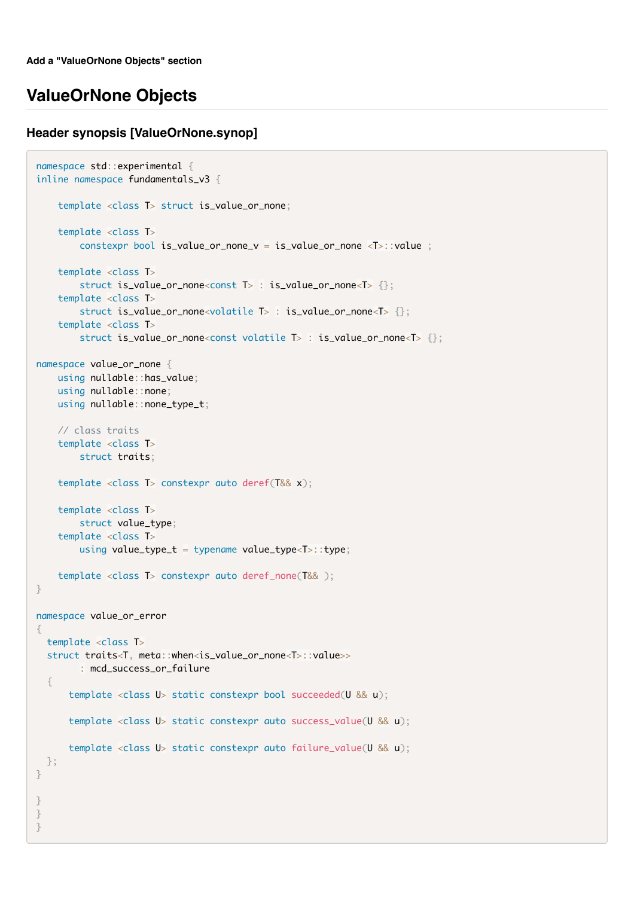### **ValueOrNone Objects**

#### **Header synopsis [ValueOrNone.synop]**

```
namespace std::experimental {
inline namespace fundamentals_v3 {
     template <class T> struct is_value_or_none;
     template <class T>
         constexpr bool is_value_or_none_v = is_value_or_none <T>::value ;
     template <class T>
         struct is_value_or_none<const T> : is_value_or_none<T> {};
     template <class T>
         struct is_value_or_none<volatile T> : is_value_or_none<T> {};
     template <class T>
         struct is_value_or_none<const volatile T> : is_value_or_none<T> {};
namespace value_or_none {
     using nullable::has_value;
     using nullable::none;
     using nullable::none_type_t;
     // class traits 
     template <class T>
         struct traits;
     template <class T> constexpr auto deref(T&& x);
     template <class T>
        struct value_type;
     template <class T>
        using value_type_t = typename value_type<T>::type;
     template <class T> constexpr auto deref_none(T&& );
}
namespace value_or_error
{
   template <class T>
   struct traits<T, meta::when<is_value_or_none<T>::value>> 
         : mcd_success_or_failure
   {
       template <class U> static constexpr bool succeeded(U && u);
       template <class U> static constexpr auto success_value(U && u);
       template <class U> static constexpr auto failure_value(U && u);
  };
}
}
}
}
```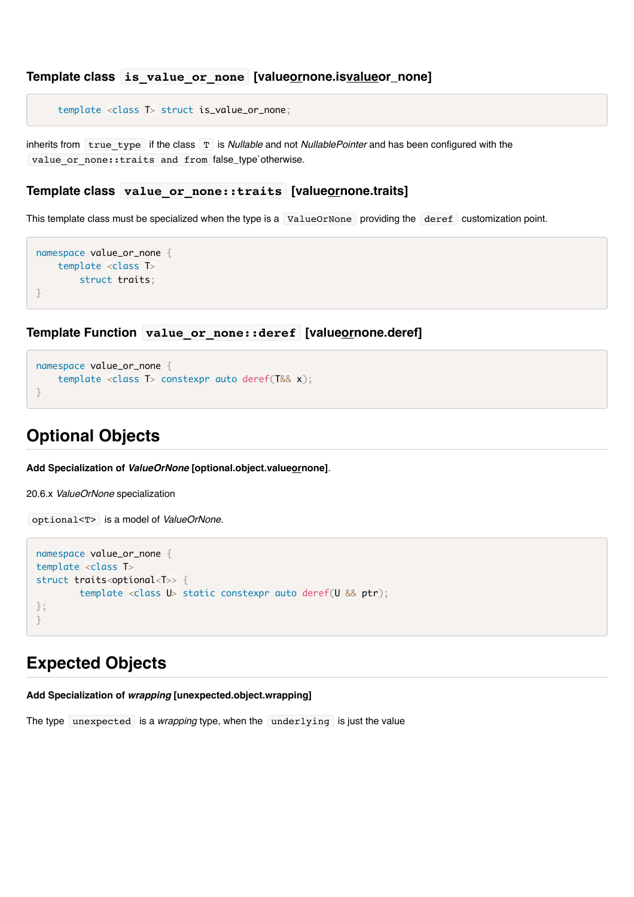```
Template class is_value_or_none [valueornone.isvalueor_none]
```
template <class T> struct is\_value\_or\_none;

inherits from true\_type if the class T is *Nullable* and not *NullablePointer* and has been configured with the value or none::traits and from false\_type`otherwise.

#### **Template class value\_or\_none::traits [valueornone.traits]**

This template class must be specialized when the type is a ValueOrNone providing the deref customization point.

```
namespace value_or_none { 
    template <class T>
        struct traits;
}
```
#### **Template Function value\_or\_none::deref [valueornone.deref]**

```
namespace value_or_none {
     template <class T> constexpr auto deref(T&& x);
}
```
## **Optional Objects**

**Add Specialization of** *ValueOrNone* **[optional.object.valueornone]**.

20.6.x *ValueOrNone* specialization

```
optional<T> is a model of ValueOrNone.
```

```
namespace value_or_none {
template <class T>
struct traits<optional<T>> {
         template <class U> static constexpr auto deref(U && ptr);
};
}
```
### **Expected Objects**

**Add Specialization of** *wrapping* **[unexpected.object.wrapping]**

The type unexpected is a *wrapping* type, when the underlying is just the value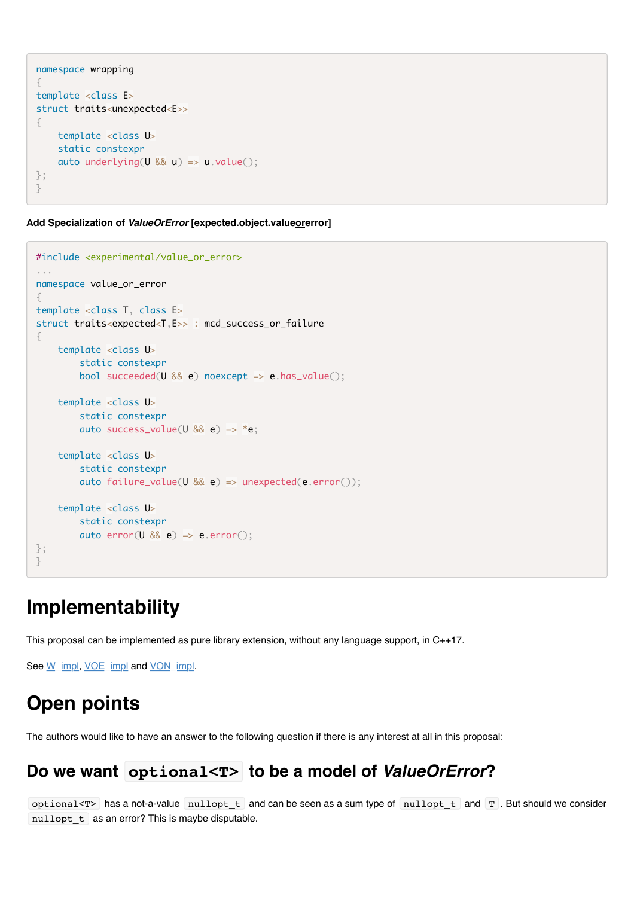```
namespace wrapping
{
template <class E>
struct traits<unexpected<E>>
{
     template <class U>
     static constexpr
    auto underlying(U && u) => u.value();
};
}
```
**Add Specialization of** *ValueOrError* **[expected.object.valueorerror]**

```
#include <experimental/value_or_error>
...
namespace value_or_error
{
template <class T, class E>
struct traits<expected<T,E>> : mcd_success_or_failure
{
     template <class U>
         static constexpr
        bool succeeded(U && e) noexcept => e.has_value();
     template <class U>
        static constexpr
        auto success_value(U && e) => *e;
     template <class U>
         static constexpr
         auto failure_value(U && e) => unexpected(e.error());
     template <class U>
         static constexpr
        auto error(U 88 e) \Rightarrow e.error();
};
}
```
# **Implementability**

This proposal can be implemented as pure library extension, without any language support, in C++17.

See [W\\_impl](https://github.com/viboes/std-make/tree/master/include/experimental/fundamental/v3/wrapped), [VOE\\_impl](https://github.com/viboes/std-make/tree/master/include/experimental/fundamental/v3/value_or_error) and [VON\\_impl.](https://github.com/viboes/std-make/tree/master/include/experimental/fundamental/v3/value_or_none)

# **Open points**

The authors would like to have an answer to the following question if there is any interest at all in this proposal:

# Do we want optional<T> to be a model of *ValueOrError*?

optional<T> has a not-a-value nullopt\_t and can be seen as a sum type of nullopt\_t and T . But should we consider nullopt t as an error? This is maybe disputable.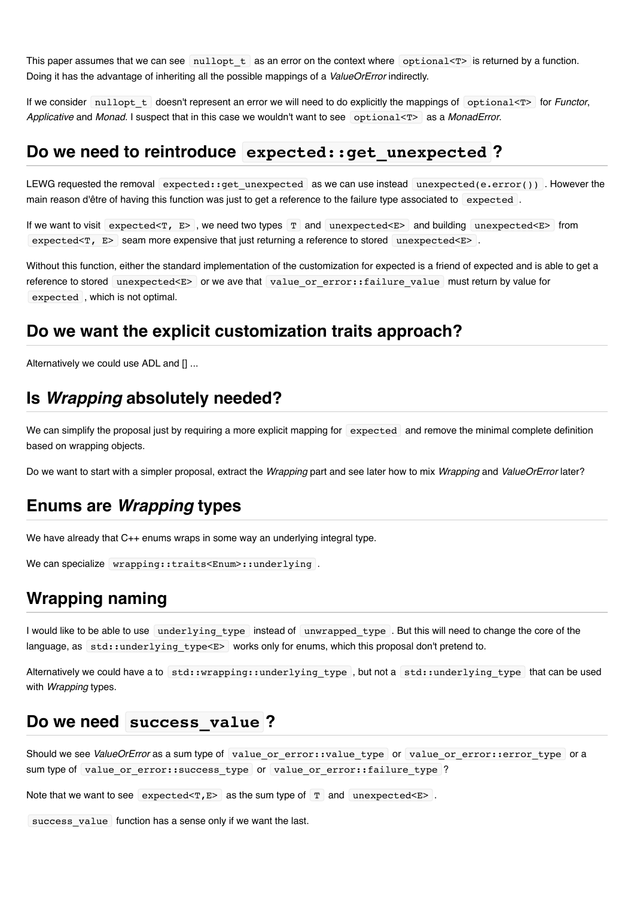This paper assumes that we can see nullopt  $t$  as an error on the context where optional<T> is returned by a function. Doing it has the advantage of inheriting all the possible mappings of a *ValueOrError* indirectly.

If we consider nullopt t doesn't represent an error we will need to do explicitly the mappings of optional<T> for *Functor*, Applicative and *Monad*. I suspect that in this case we wouldn't want to see optional<T> as a *MonadError*.

### **Do we need to reintroduce expected::get\_unexpected ?**

LEWG requested the removal expected::get unexpected as we can use instead unexpected(e.error()). However the main reason d'être of having this function was just to get a reference to the failure type associated to expected .

If we want to visit expected<T, E> , we need two types T and unexpected<E> and building unexpected<E> from expected<T, E> seam more expensive that just returning a reference to stored unexpected<E>.

Without this function, either the standard implementation of the customization for expected is a friend of expected and is able to get a reference to stored unexpected<E> or we ave that value\_or\_error::failure\_value must return by value for expected , which is not optimal.

## **Do we want the explicit customization traits approach?**

Alternatively we could use ADL and [] ...

## **Is** *Wrapping* **absolutely needed?**

We can simplify the proposal just by requiring a more explicit mapping for expected and remove the minimal complete definition based on wrapping objects.

Do we want to start with a simpler proposal, extract the *Wrapping* part and see later how to mix *Wrapping* and *ValueOrError* later?

### **Enums are** *Wrapping* **types**

We have already that C++ enums wraps in some way an underlying integral type.

```
We can specialize wrapping::traits<Enum>::underlying.
```
# **Wrapping naming**

I would like to be able to use underlying type instead of unwrapped type. But this will need to change the core of the language, as std::underlying\_type<E> works only for enums, which this proposal don't pretend to.

Alternatively we could have a to std::wrapping::underlying type, but not a std::underlying type that can be used with *Wrapping* types.

### **Do we need success\_value ?**

Should we see *ValueOrError* as a sum type of value or error::value type or value or error::error type or a sum type of value or error::success type or value or error::failure type ?

Note that we want to see expected<T, $E$ > as the sum type of  $T$  and unexpected<E>.

success value function has a sense only if we want the last.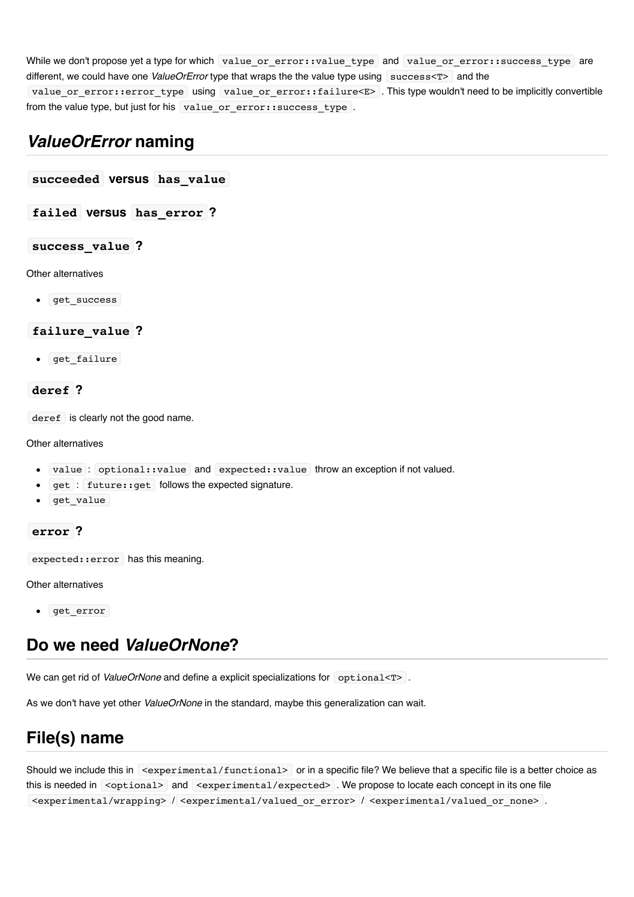While we don't propose yet a type for which value\_or\_error::value\_type and value\_or\_error::success\_type are different, we could have one *ValueOrError* type that wraps the the value type using success<T> and the value or error::error type using value or error::failure<E> . This type wouldn't need to be implicitly convertible

from the value type, but just for his value or error::success type .

# *ValueOrError* **naming**

**succeeded versus has\_value**

**failed versus has\_error ?**

#### **success\_value ?**

Other alternatives

• Get success

#### **failure\_value ?**

 $\bullet$  get failure

#### **deref ?**

deref is clearly not the good name.

#### Other alternatives

- value : optional::value and expected::value throw an exception if not valued.
- get : future::get follows the expected signature.
- get value

#### **error ?**

expected::error has this meaning.

Other alternatives

• get error

# **Do we need** *ValueOrNone***?**

We can get rid of *ValueOrNone* and define a explicit specializations for optional<T>

As we don't have yet other *ValueOrNone* in the standard, maybe this generalization can wait.

# **File(s) name**

Should we include this in <experimental/functional> or in a specific file? We believe that a specific file is a better choice as this is needed in <optional> and <experimental/expected> . We propose to locate each concept in its one file <experimental/wrapping> / <experimental/valued\_or\_error> / <experimental/valued\_or\_none> .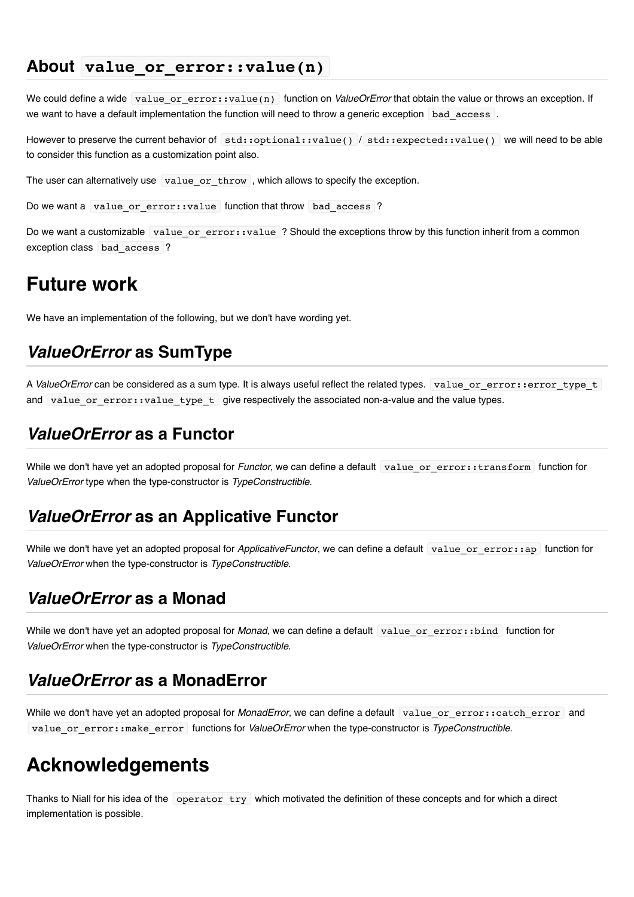## **About value\_or\_error::value(n)**

We could define a wide value\_or\_error::value(n) function on *ValueOrError* that obtain the value or throws an exception. If we want to have a default implementation the function will need to throw a generic exception bad access .

However to preserve the current behavior of std::optional::value() / std::expected::value() we will need to be able to consider this function as a customization point also.

The user can alternatively use  $\lceil$  value\_or\_throw , which allows to specify the exception.

Do we want a value or error::value function that throw bad access ?

Do we want a customizable value or error::value ? Should the exceptions throw by this function inherit from a common exception class bad access ?

# **Future work**

We have an implementation of the following, but we don't have wording yet.

# *ValueOrError* **as SumType**

A *ValueOrError* can be considered as a sum type. It is always useful reflect the related types. value\_or\_error::error\_type\_t and value or  $error:value$  type  $t$  give respectively the associated non-a-value and the value types.

## *ValueOrError* **as a Functor**

While we don't have yet an adopted proposal for *Functor*, we can define a default value or error::transform function for *ValueOrError* type when the type-constructor is *TypeConstructible*.

### *ValueOrError* **as an Applicative Functor**

While we don't have yet an adopted proposal for *ApplicativeFunctor*, we can define a default value or error::ap function for *ValueOrError* when the type-constructor is *TypeConstructible*.

## *ValueOrError* **as a Monad**

While we don't have yet an adopted proposal for *Monad*, we can define a default value or error::bind function for *ValueOrError* when the type-constructor is *TypeConstructible*.

## *ValueOrError* **as a MonadError**

While we don't have yet an adopted proposal for *MonadError*, we can define a default value or error::catch error and value\_or\_error::make\_error functions for *ValueOrError* when the type-constructor is *TypeConstructible*.

# **Acknowledgements**

Thanks to Niall for his idea of the operator try which motivated the definition of these concepts and for which a direct implementation is possible.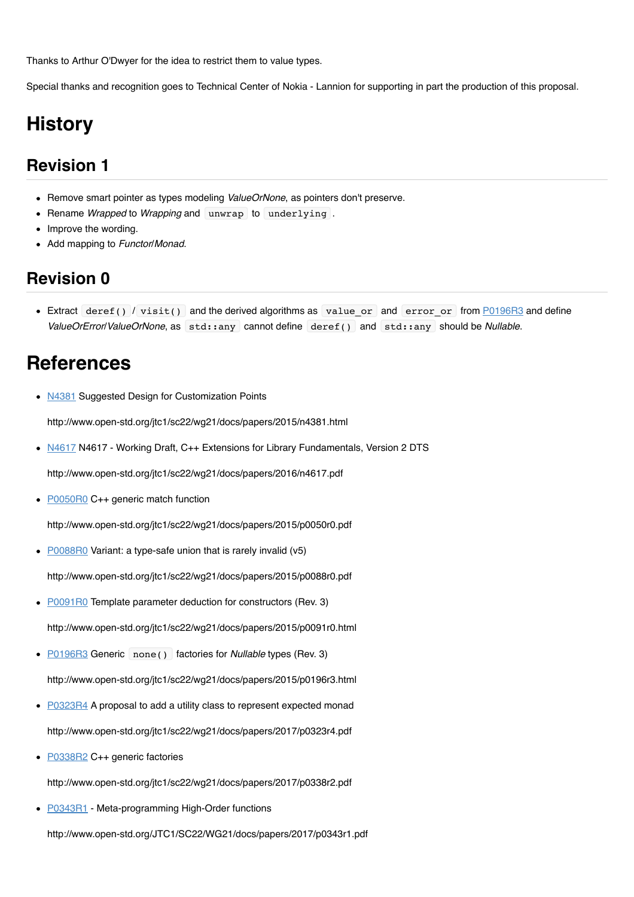Thanks to Arthur O'Dwyer for the idea to restrict them to value types.

Special thanks and recognition goes to Technical Center of Nokia - Lannion for supporting in part the production of this proposal.

# **History**

# **Revision 1**

- Remove smart pointer as types modeling *ValueOrNone*, as pointers don't preserve.
- Rename *Wrapped* to *Wrapping* and unwrap to underlying .
- Improve the wording.
- Add mapping to *Functor*/*Monad*.

# **Revision 0**

• Extract deref() / visit() and the derived algorithms as value or and error or from [P0196R3](http://www.open-std.org/jtc1/sc22/wg21/docs/papers/2015/p0196r3.html) and define *ValueOrError*/*ValueOrNone*, as std::any cannot define deref() and std::any should be *Nullable*.

# **References**

• [N4381](http://www.open-std.org/jtc1/sc22/wg21/docs/papers/2015/n4381.html) Suggested Design for Customization Points

http://www.open-std.org/jtc1/sc22/wg21/docs/papers/2015/n4381.html

• [N4617](http://www.open-std.org/jtc1/sc22/wg21/docs/papers/2016/n4617.pdf) N4617 - Working Draft, C++ Extensions for Library Fundamentals, Version 2 DTS

http://www.open-std.org/jtc1/sc22/wg21/docs/papers/2016/n4617.pdf

 $\bullet$ [P0050R0](http://www.open-std.org/jtc1/sc22/wg21/docs/papers/2015/p0050r0.pdf) C++ generic match function

http://www.open-std.org/jtc1/sc22/wg21/docs/papers/2015/p0050r0.pdf

• [P0088R0](http://www.open-std.org/jtc1/sc22/wg21/docs/papers/2015/p0088r0.pdf) Variant: a type-safe union that is rarely invalid (v5)

http://www.open-std.org/jtc1/sc22/wg21/docs/papers/2015/p0088r0.pdf

- [P0091R0](http://www.open-std.org/jtc1/sc22/wg21/docs/papers/2015/p0091r0.html) Template parameter deduction for constructors (Rev. 3) http://www.open-std.org/jtc1/sc22/wg21/docs/papers/2015/p0091r0.html
- **P0196R3** Generic none() factories for *Nullable* types (Rev. 3) http://www.open-std.org/jtc1/sc22/wg21/docs/papers/2015/p0196r3.html
- [P0323R4](http://www.open-std.org/jtc1/sc22/wg21/docs/papers/2017/p0323r4.pdf) A proposal to add a utility class to represent expected monad http://www.open-std.org/jtc1/sc22/wg21/docs/papers/2017/p0323r4.pdf
- [P0338R2](http://www.open-std.org/jtc1/sc22/wg21/docs/papers/2017/p0338r2.pdf) C++ generic factories

http://www.open-std.org/jtc1/sc22/wg21/docs/papers/2017/p0338r2.pdf

• [P0343R1](http://www.open-std.org/JTC1/SC22/WG21/docs/papers/2017/p0343r1.pdf) - Meta-programming High-Order functions

http://www.open-std.org/JTC1/SC22/WG21/docs/papers/2017/p0343r1.pdf